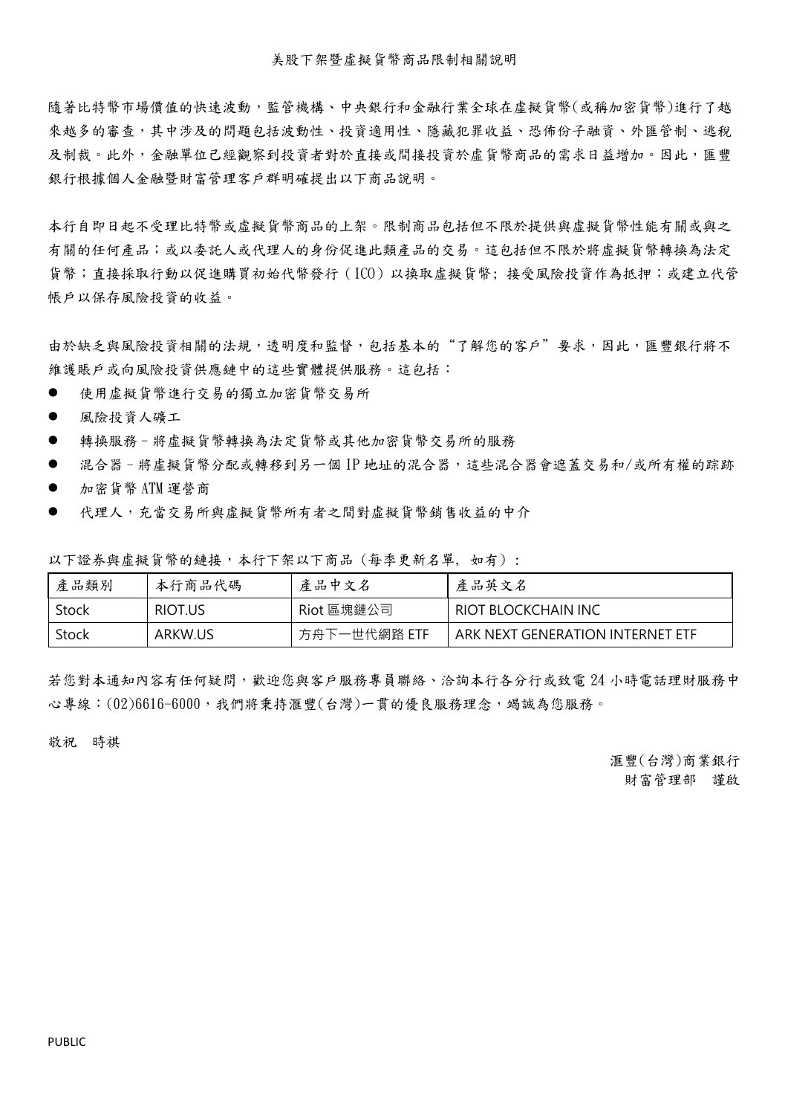隨著比特幣市場價值的快速波動,監管機構、中央銀行和金融行業全球在虛擬貨幣(或稱加密貨幣)進行了越 來越多的審查,其中涉及的問題包括波動性、投資適用性、隱藏犯罪收益、恐佈份子融資、外匯管制、逃稅 及制裁。此外,金融單位己經觀察到投資者對於直接或間接投資於虛貨幣商品的需求日益增加。因此,匯豐 銀行根據個人金融暨財富管理客戶群明確提出以下商品說明。

本行自即日起不受理比特幣或虛擬貨幣商品的上架。限制商品包括但不限於提供與虛擬貨幣性能有關或與之 有關的任何產品;或以委託人或代理人的身份促進此類產品的交易。這包括但不限於將虛擬貨幣轉換為法定 貨幣;直接採取行動以促進購買初始代幣發行(ICO)以換取虛擬貨幣; 接受風險投資作為抵押;或建立代管 帳戶以保存風險投資的收益。

由於缺乏與風險投資相關的法規,透明度和監督,包括基本的"了解您的客戶"要求,因此,匯豐銀行將不 維護賬戶或向風險投資供應鏈中的這些實體提供服務。這包括:

- 使用虛擬貨幣進行交易的獨立加密貨幣交易所
- 風險投資人礦工
- 轉換服務–將虛擬貨幣轉換為法定貨幣或其他加密貨幣交易所的服務
- 混合器-將虛擬貨幣分配或轉移到另一個 IP 地址的混合器,這些混合器會遮蓋交易和/或所有權的踪跡
- 加密貨幣 ATM 運營商
- 代理人,充當交易所與虛擬貨幣所有者之間對虛擬貨幣銷售收益的中介

| 產品類別  | 本行商品代碼  | 產品中文名        | 產品英文名                            |
|-------|---------|--------------|----------------------------------|
| Stock | RIOT.US | Riot 區塊鏈公司   | RIOT BLOCKCHAIN INC              |
| Stock | ARKW.US | 方舟下一世代網路 ETF | ARK NEXT GENERATION INTERNET ETF |

以下證券與虛擬貨幣的鏈接,本行下架以下商品 (每季更新名單, 如有) :

若您對本通知內容有任何疑問,歡迎您與客戶服務專員聯絡、洽詢本行各分行或致電 24 小時電話理財服務中 心專線:(02)6616-6000,我們將秉持滙豐(台灣)一貫的優良服務理念,竭誠為您服務。

敬祝 時祺

滙豐(台灣)商業銀行 財富管理部 謹啟